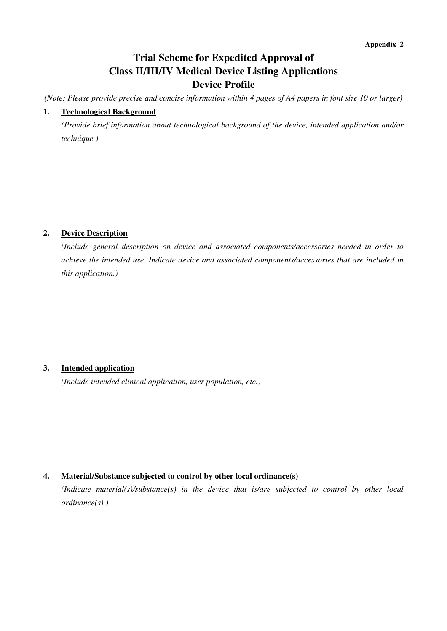# **Trial Scheme for Expedited Approval of Class II/III/IV Medical Device Listing Applications Device Profile**

*(Note: Please provide precise and concise information within 4 pages of A4 papers in font size 10 or larger)* 

### **1. Technological Background**

*(Provide brief information about technological background of the device, intended application and/or technique.)*

#### **2. Device Description**

*(Include general description on device and associated components/accessories needed in order to achieve the intended use. Indicate device and associated components/accessories that are included in this application.)*

#### **3. Intended application**

*(Include intended clinical application, user population, etc.)*

#### **4. Material/Substance subjected to control by other local ordinance(s)**

*(Indicate material(s)/substance(s) in the device that is/are subjected to control by other local ordinance(s).)*